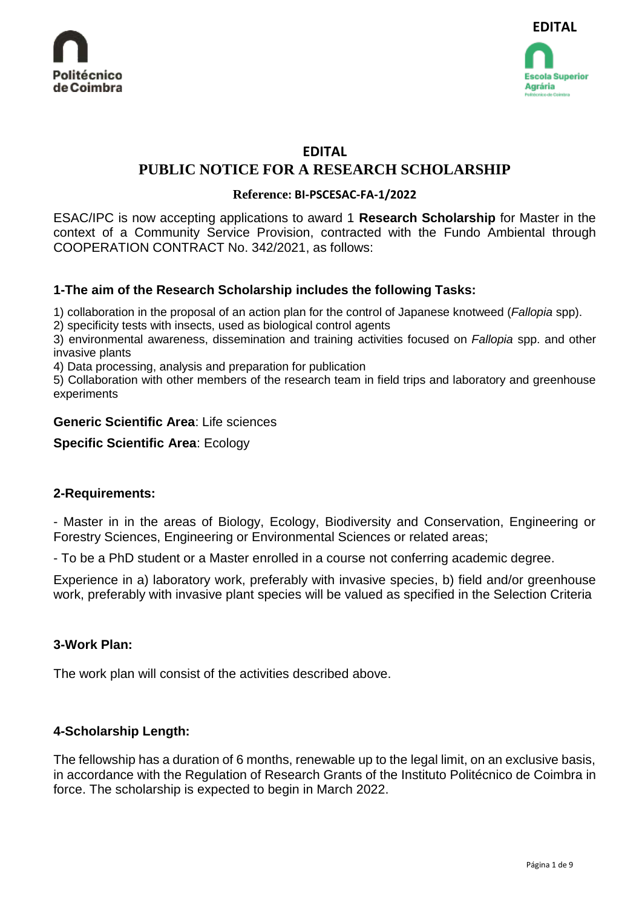

# **EDITAL**

# **PUBLIC NOTICE FOR A RESEARCH SCHOLARSHIP**

### **Reference: BI-PSCESAC-FA-1/2022**

ESAC/IPC is now accepting applications to award 1 **Research Scholarship** for Master in the context of a Community Service Provision, contracted with the Fundo Ambiental through COOPERATION CONTRACT No. 342/2021, as follows:

# **1-The aim of the Research Scholarship includes the following Tasks:**

1) collaboration in the proposal of an action plan for the control of Japanese knotweed (*Fallopia* spp).

2) specificity tests with insects, used as biological control agents

3) environmental awareness, dissemination and training activities focused on *Fallopia* spp. and other invasive plants

4) Data processing, analysis and preparation for publication

5) Collaboration with other members of the research team in field trips and laboratory and greenhouse experiments

### **Generic Scientific Area**: Life sciences

### **Specific Scientific Area**: Ecology

### **2-Requirements:**

- Master in in the areas of Biology, Ecology, Biodiversity and Conservation, Engineering or Forestry Sciences, Engineering or Environmental Sciences or related areas;

- To be a PhD student or a Master enrolled in a course not conferring academic degree.

Experience in a) laboratory work, preferably with invasive species, b) field and/or greenhouse work, preferably with invasive plant species will be valued as specified in the Selection Criteria

# **3-Work Plan:**

The work plan will consist of the activities described above.

# **4-Scholarship Length:**

The fellowship has a duration of 6 months, renewable up to the legal limit, on an exclusive basis, in accordance with the Regulation of Research Grants of the Instituto Politécnico de Coimbra in force. The scholarship is expected to begin in March 2022.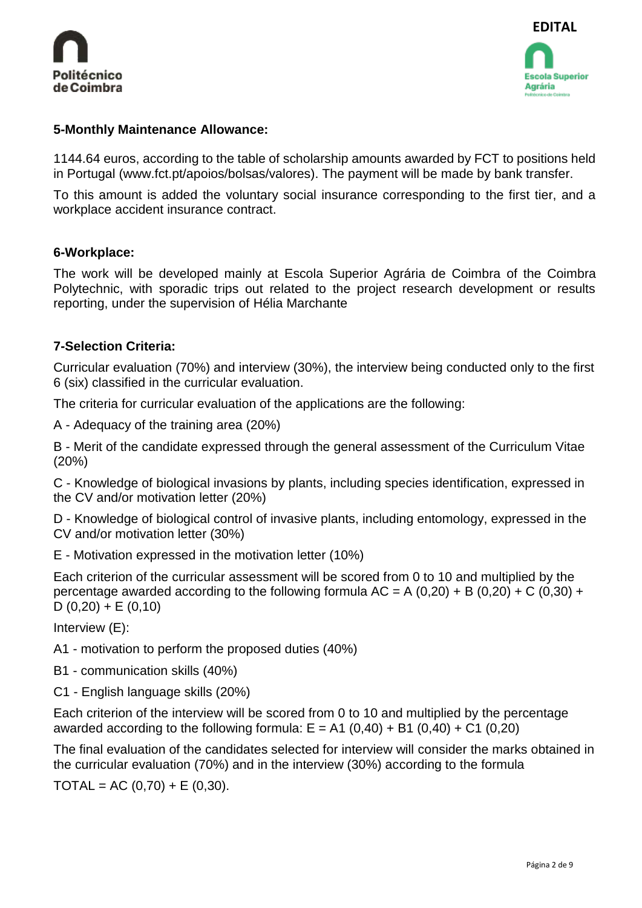



### **5-Monthly Maintenance Allowance:**

1144.64 euros, according to the table of scholarship amounts awarded by FCT to positions held in Portugal (www.fct.pt/apoios/bolsas/valores). The payment will be made by bank transfer.

To this amount is added the voluntary social insurance corresponding to the first tier, and a workplace accident insurance contract.

### **6-Workplace:**

The work will be developed mainly at Escola Superior Agrária de Coimbra of the Coimbra Polytechnic, with sporadic trips out related to the project research development or results reporting, under the supervision of Hélia Marchante

### **7-Selection Criteria:**

Curricular evaluation (70%) and interview (30%), the interview being conducted only to the first 6 (six) classified in the curricular evaluation.

The criteria for curricular evaluation of the applications are the following:

A - Adequacy of the training area (20%)

B - Merit of the candidate expressed through the general assessment of the Curriculum Vitae (20%)

C - Knowledge of biological invasions by plants, including species identification, expressed in the CV and/or motivation letter (20%)

D - Knowledge of biological control of invasive plants, including entomology, expressed in the CV and/or motivation letter (30%)

E - Motivation expressed in the motivation letter (10%)

Each criterion of the curricular assessment will be scored from 0 to 10 and multiplied by the percentage awarded according to the following formula  $AC = A (0,20) + B (0,20) + C (0,30) + C$ D  $(0,20) + E (0,10)$ 

Interview (E):

A1 - motivation to perform the proposed duties (40%)

- B1 communication skills (40%)
- C1 English language skills (20%)

Each criterion of the interview will be scored from 0 to 10 and multiplied by the percentage awarded according to the following formula:  $E = A1 (0.40) + B1 (0.40) + C1 (0.20)$ 

The final evaluation of the candidates selected for interview will consider the marks obtained in the curricular evaluation (70%) and in the interview (30%) according to the formula

 $TOTAL = AC (0.70) + E (0.30).$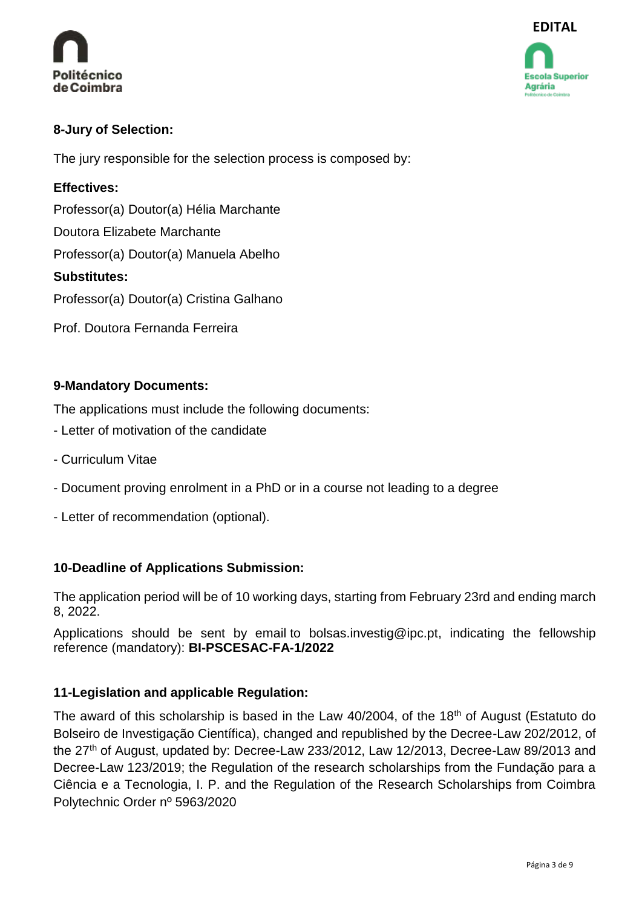



# **8-Jury of Selection:**

The jury responsible for the selection process is composed by:

# **Effectives:**

Professor(a) Doutor(a) Hélia Marchante

Doutora Elizabete Marchante

Professor(a) Doutor(a) Manuela Abelho

# **Substitutes:**

Professor(a) Doutor(a) Cristina Galhano

Prof. Doutora Fernanda Ferreira

# **9-Mandatory Documents:**

The applications must include the following documents:

- Letter of motivation of the candidate
- Curriculum Vitae
- Document proving enrolment in a PhD or in a course not leading to a degree
- Letter of recommendation (optional).

# **10-Deadline of Applications Submission:**

The application period will be of 10 working days, starting from February 23rd and ending march 8, 2022.

Applications should be sent by email to [bolsas.investig@ipc.pt,](mailto:bolsas.investig@ipc.pt) indicating the fellowship reference (mandatory): **BI-PSCESAC-FA-1/2022**

# **11-Legislation and applicable Regulation:**

The award of this scholarship is based in the Law  $40/2004$ , of the 18<sup>th</sup> of August (Estatuto do Bolseiro de Investigação Científica), changed and republished by the Decree-Law 202/2012, of the  $27<sup>th</sup>$  of August, updated by: Decree-Law 233/2012, Law 12/2013, Decree-Law 89/2013 and Decree-Law 123/2019; the Regulation of the research scholarships from the Fundação para a Ciência e a Tecnologia, I. P. and the Regulation of the Research Scholarships from Coimbra Polytechnic Order nº 5963/2020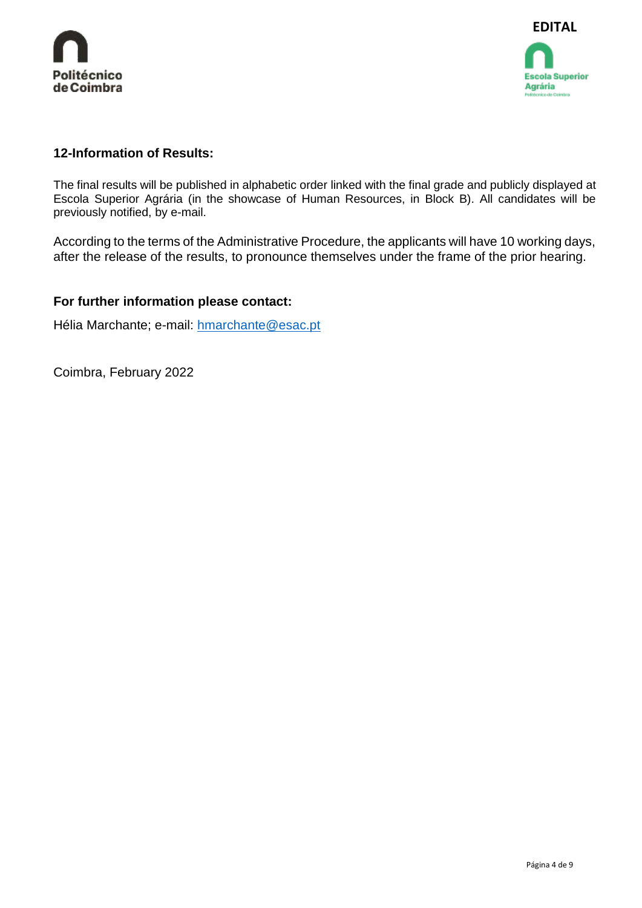



### **12-Information of Results:**

The final results will be published in alphabetic order linked with the final grade and publicly displayed at Escola Superior Agrária (in the showcase of Human Resources, in Block B). All candidates will be previously notified, by e-mail.

According to the terms of the Administrative Procedure, the applicants will have 10 working days, after the release of the results, to pronounce themselves under the frame of the prior hearing.

### **For further information please contact:**

Hélia Marchante; e-mail: [hmarchante@esac.pt](mailto:hmarchante@esac.pt)

Coimbra, February 2022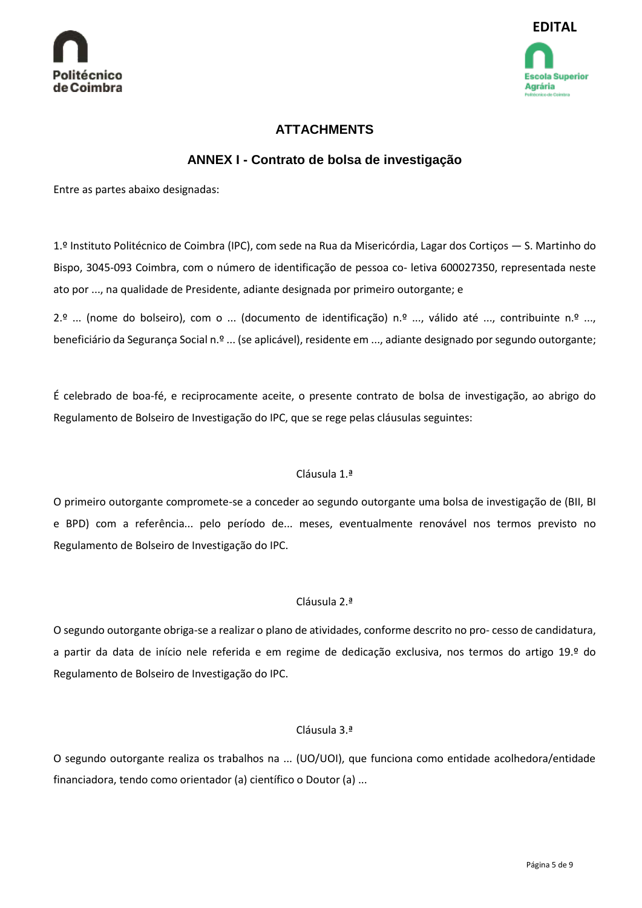



# **ATTACHMENTS**

# **ANNEX I - Contrato de bolsa de investigação**

Entre as partes abaixo designadas:

1.º Instituto Politécnico de Coimbra (IPC), com sede na Rua da Misericórdia, Lagar dos Cortiços — S. Martinho do Bispo, 3045-093 Coimbra, com o número de identificação de pessoa co- letiva 600027350, representada neste ato por ..., na qualidade de Presidente, adiante designada por primeiro outorgante; e

2.º ... (nome do bolseiro), com o ... (documento de identificação) n.º ..., válido até ..., contribuinte n.º ..., beneficiário da Segurança Social n.º ... (se aplicável), residente em ..., adiante designado por segundo outorgante;

É celebrado de boa-fé, e reciprocamente aceite, o presente contrato de bolsa de investigação, ao abrigo do Regulamento de Bolseiro de Investigação do IPC, que se rege pelas cláusulas seguintes:

#### Cláusula 1.ª

O primeiro outorgante compromete-se a conceder ao segundo outorgante uma bolsa de investigação de (BII, BI e BPD) com a referência... pelo período de... meses, eventualmente renovável nos termos previsto no Regulamento de Bolseiro de Investigação do IPC.

#### Cláusula 2.ª

O segundo outorgante obriga-se a realizar o plano de atividades, conforme descrito no pro- cesso de candidatura, a partir da data de início nele referida e em regime de dedicação exclusiva, nos termos do artigo 19.º do Regulamento de Bolseiro de Investigação do IPC.

#### Cláusula 3.ª

O segundo outorgante realiza os trabalhos na ... (UO/UOI), que funciona como entidade acolhedora/entidade financiadora, tendo como orientador (a) científico o Doutor (a) ...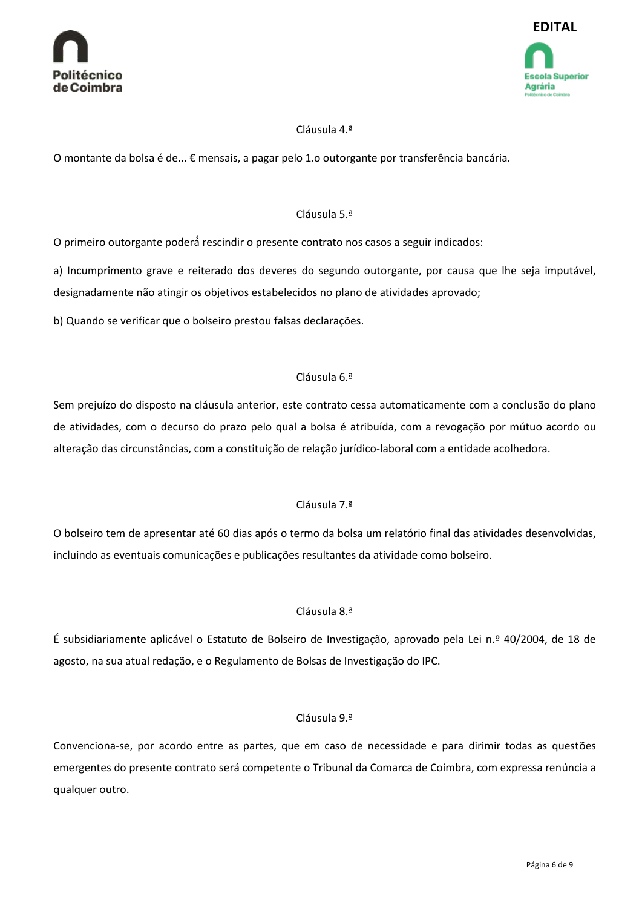



#### Cláusula 4.ª

O montante da bolsa é de... € mensais, a pagar pelo 1.o outorgante por transferência bancária.

#### Cláusula 5.ª

O primeiro outorgante poderá́rescindir o presente contrato nos casos a seguir indicados:

a) Incumprimento grave e reiterado dos deveres do segundo outorgante, por causa que lhe seja imputável, designadamente não atingir os objetivos estabelecidos no plano de atividades aprovado;

b) Quando se verificar que o bolseiro prestou falsas declarações.

#### Cláusula 6.ª

Sem prejuízo do disposto na cláusula anterior, este contrato cessa automaticamente com a conclusão do plano de atividades, com o decurso do prazo pelo qual a bolsa é atribuída, com a revogação por mútuo acordo ou alteração das circunstâncias, com a constituição de relação jurídico-laboral com a entidade acolhedora.

#### Cláusula 7.ª

O bolseiro tem de apresentar até 60 dias após o termo da bolsa um relatório final das atividades desenvolvidas, incluindo as eventuais comunicações e publicações resultantes da atividade como bolseiro.

#### Cláusula 8.ª

É subsidiariamente aplicável o Estatuto de Bolseiro de Investigação, aprovado pela Lei n.º 40/2004, de 18 de agosto, na sua atual redação, e o Regulamento de Bolsas de Investigação do IPC.

#### Cláusula 9.ª

Convenciona-se, por acordo entre as partes, que em caso de necessidade e para dirimir todas as questões emergentes do presente contrato será competente o Tribunal da Comarca de Coimbra, com expressa renúncia a qualquer outro.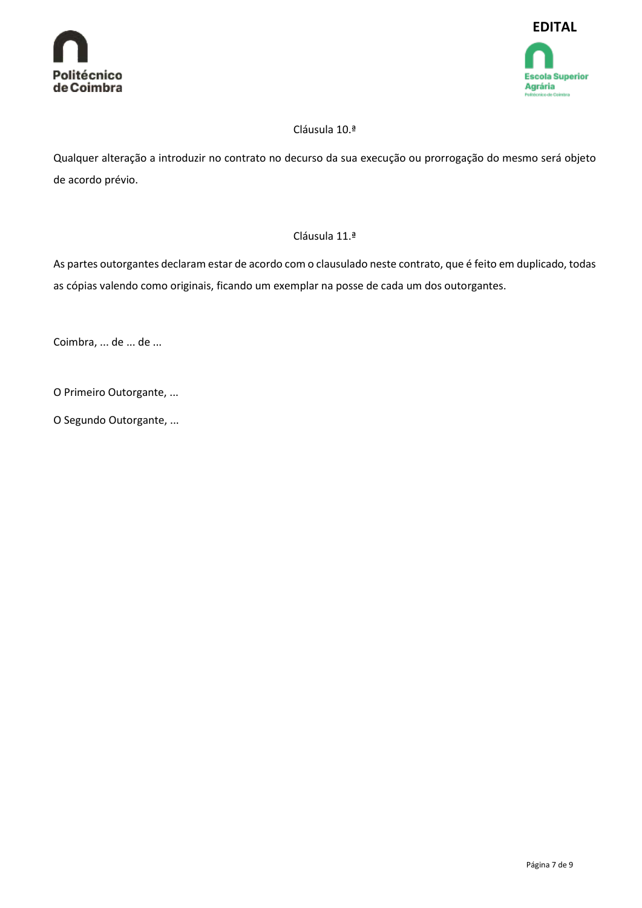



### Cláusula 10.ª

Qualquer alteração a introduzir no contrato no decurso da sua execução ou prorrogação do mesmo será objeto de acordo prévio.

#### Cláusula 11.ª

As partes outorgantes declaram estar de acordo com o clausulado neste contrato, que é feito em duplicado, todas as cópias valendo como originais, ficando um exemplar na posse de cada um dos outorgantes.

Coimbra, ... de ... de ...

O Primeiro Outorgante, ...

O Segundo Outorgante, ...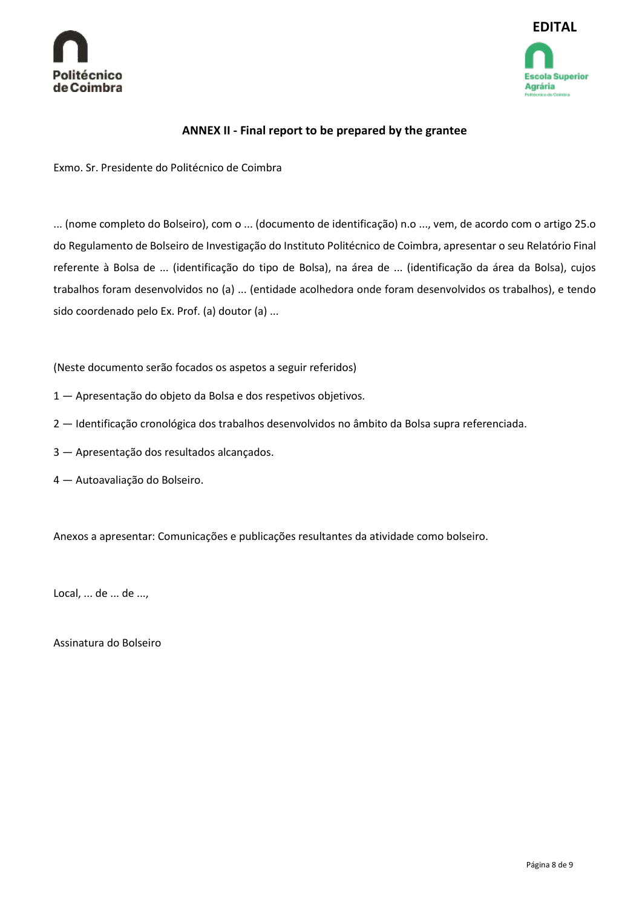



#### **ANNEX II - Final report to be prepared by the grantee**

Exmo. Sr. Presidente do Politécnico de Coimbra

... (nome completo do Bolseiro), com o ... (documento de identificação) n.o ..., vem, de acordo com o artigo 25.o do Regulamento de Bolseiro de Investigação do Instituto Politécnico de Coimbra, apresentar o seu Relatório Final referente à Bolsa de ... (identificação do tipo de Bolsa), na área de ... (identificação da área da Bolsa), cujos trabalhos foram desenvolvidos no (a) ... (entidade acolhedora onde foram desenvolvidos os trabalhos), e tendo sido coordenado pelo Ex. Prof. (a) doutor (a) ...

(Neste documento serão focados os aspetos a seguir referidos)

- 1 Apresentação do objeto da Bolsa e dos respetivos objetivos.
- 2 Identificação cronológica dos trabalhos desenvolvidos no âmbito da Bolsa supra referenciada.
- 3 Apresentação dos resultados alcançados.
- 4 Autoavaliação do Bolseiro.

Anexos a apresentar: Comunicações e publicações resultantes da atividade como bolseiro.

Local, ... de ... de ...,

Assinatura do Bolseiro